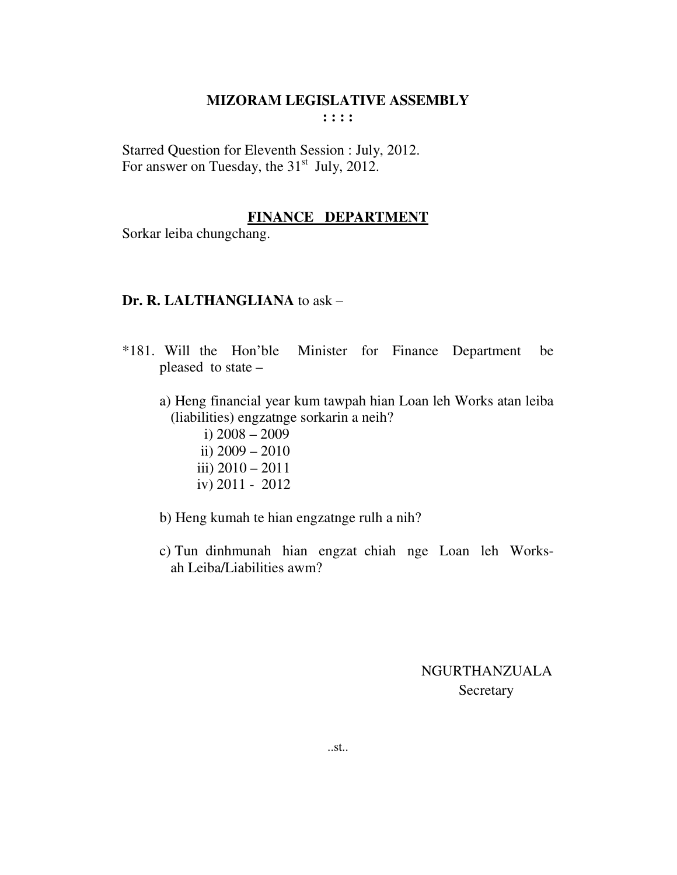Starred Question for Eleventh Session : July, 2012. For answer on Tuesday, the  $31<sup>st</sup>$  July, 2012.

#### **FINANCE DEPARTMENT**

Sorkar leiba chungchang.

#### **Dr. R. LALTHANGLIANA** to ask –

- \*181. Will the Hon'ble Minister for Finance Department be pleased to state –
	- a) Heng financial year kum tawpah hian Loan leh Works atan leiba (liabilities) engzatnge sorkarin a neih?
		- i) 2008 2009 ii) 2009 – 2010 iii) 2010 – 2011
		- iv) 2011 2012
	- b) Heng kumah te hian engzatnge rulh a nih?
	- c) Tun dinhmunah hian engzat chiah nge Loan leh Works ah Leiba/Liabilities awm?

## NGURTHANZUALA Secretary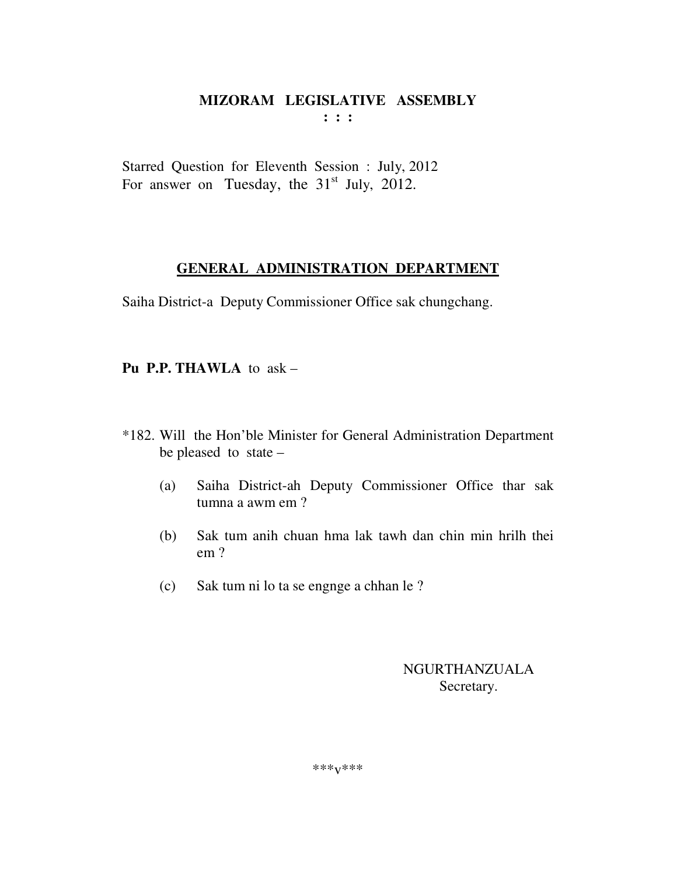Starred Question for Eleventh Session : July, 2012 For answer on Tuesday, the  $31<sup>st</sup>$  July, 2012.

## **GENERAL ADMINISTRATION DEPARTMENT**

Saiha District-a Deputy Commissioner Office sak chungchang.

**Pu P.P. THAWLA** to ask –

- \*182. Will the Hon'ble Minister for General Administration Department be pleased to state –
	- (a) Saiha District-ah Deputy Commissioner Office thar sak tumna a awm em ?
	- (b) Sak tum anih chuan hma lak tawh dan chin min hrilh thei em ?
	- (c) Sak tum ni lo ta se engnge a chhan le ?

NGURTHANZUALA Secretary.

\*\*\*v\*\*\*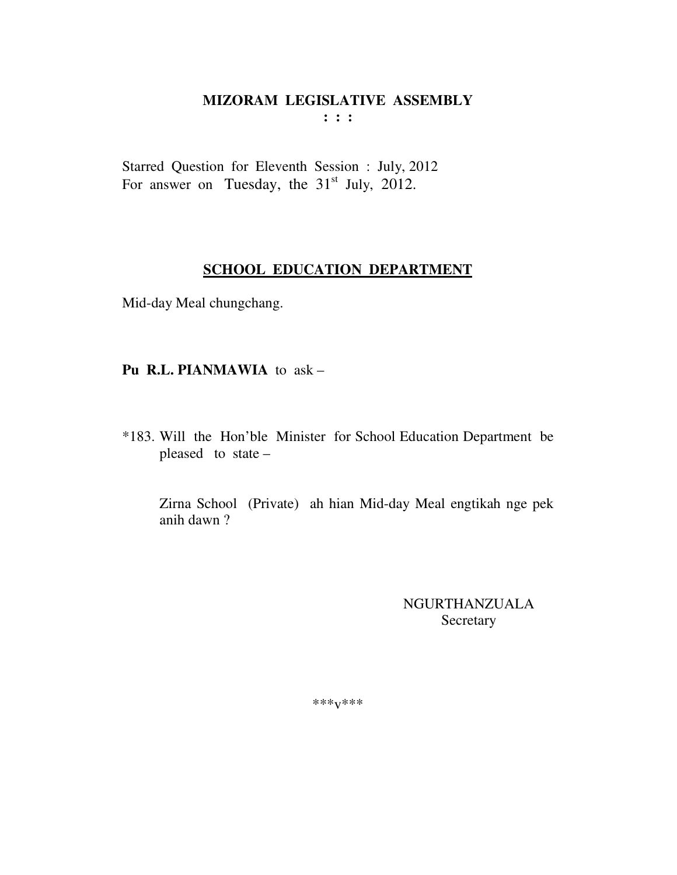$\mathbf{1}$  :  $\mathbf{1}$ 

Starred Question for Eleventh Session : July, 2012 For answer on Tuesday, the  $31<sup>st</sup>$  July, 2012.

## **SCHOOL EDUCATION DEPARTMENT**

Mid-day Meal chungchang.

## Pu R.L. PIANMAWIA to ask -

\*183. Will the Hon'ble Minister for School Education Department be pleased to state -

Zirna School (Private) ah hian Mid-day Meal engtikah nge pek anih dawn ?

> **NGURTHANZUALA** Secretary

\*\*\* $V$ \*\*\*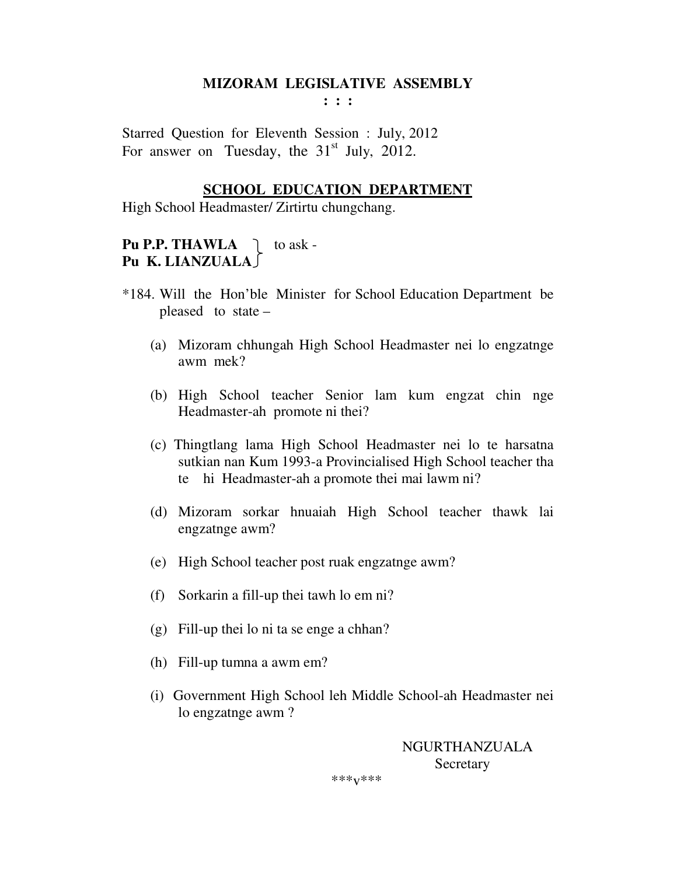**: : :** 

Starred Question for Eleventh Session : July, 2012 For answer on Tuesday, the  $31<sup>st</sup>$  July, 2012.

#### **SCHOOL EDUCATION DEPARTMENT**

High School Headmaster/ Zirtirtu chungchang.

## **Pu P.P. THAWLA**  $\bigcap$  to ask -**Pu K. LIANZUALA**

- \*184. Will the Hon'ble Minister for School Education Department be pleased to state –
	- (a) Mizoram chhungah High School Headmaster nei lo engzatnge awm mek?
	- (b) High School teacher Senior lam kum engzat chin nge Headmaster-ah promote ni thei?
	- (c) Thingtlang lama High School Headmaster nei lo te harsatna sutkian nan Kum 1993-a Provincialised High School teacher tha te hi Headmaster-ah a promote thei mai lawm ni?
	- (d) Mizoram sorkar hnuaiah High School teacher thawk lai engzatnge awm?
	- (e) High School teacher post ruak engzatnge awm?
	- (f) Sorkarin a fill-up thei tawh lo em ni?
	- (g) Fill-up thei lo ni ta se enge a chhan?
	- (h) Fill-up tumna a awm em?
	- (i) Government High School leh Middle School-ah Headmaster nei lo engzatnge awm ?

 NGURTHANZUALA Secretary

\*\*\*v\*\*\*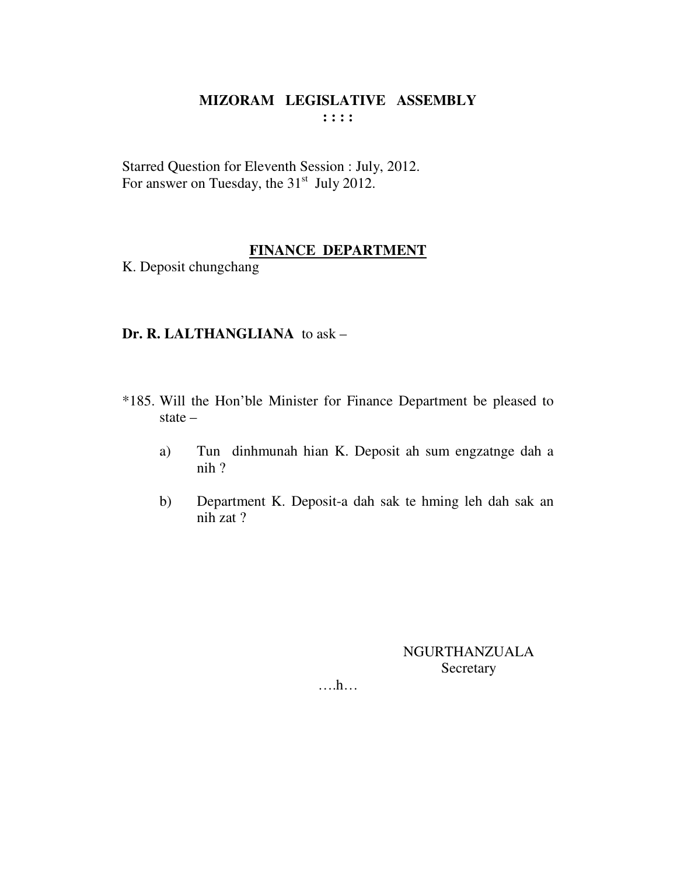Starred Question for Eleventh Session : July, 2012. For answer on Tuesday, the 31<sup>st</sup> July 2012.

## FINANCE DEPARTMENT

K. Deposit chungchang

#### Dr. R. LALTHANGLIANA to ask -

- \*185. Will the Hon'ble Minister for Finance Department be pleased to state  $-$ 
	- Tun dinhmunah hian K. Deposit ah sum engzatnge dah a a)  $nih$ ?
	- Department K. Deposit-a dah sak te hming leh dah sak an  $b)$ nih zat?

**NGURTHANZUALA** Secretary

 $\dots h\dots$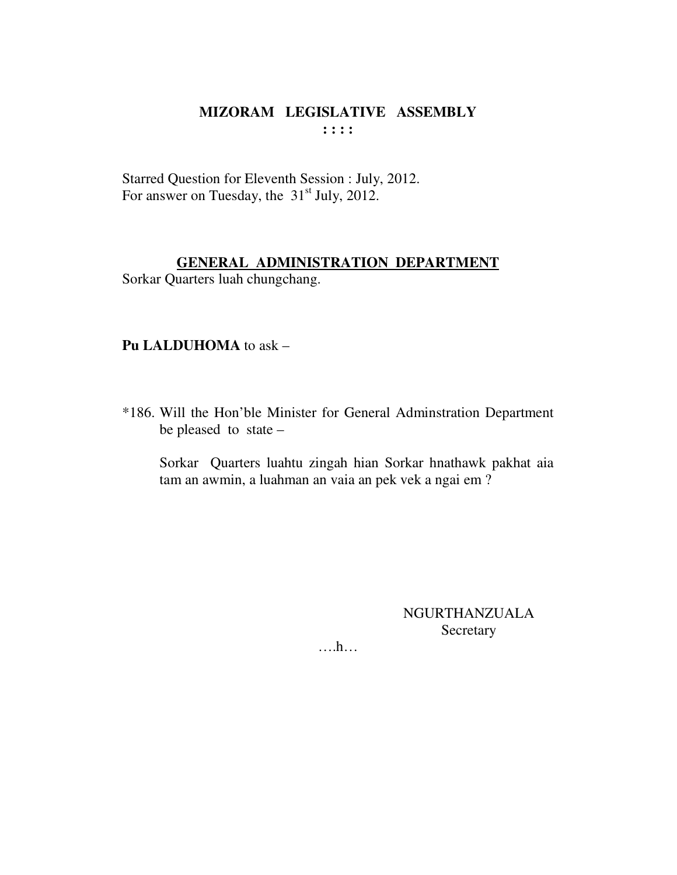Starred Question for Eleventh Session : July, 2012. For answer on Tuesday, the  $31<sup>st</sup>$  July, 2012.

#### **GENERAL ADMINISTRATION DEPARTMENT** Sorkar Quarters luah chungchang.

#### **Pu LALDUHOMA** to ask –

\*186. Will the Hon'ble Minister for General Adminstration Department be pleased to state –

 Sorkar Quarters luahtu zingah hian Sorkar hnathawk pakhat aia tam an awmin, a luahman an vaia an pek vek a ngai em ?

> NGURTHANZUALA Secretary

….h…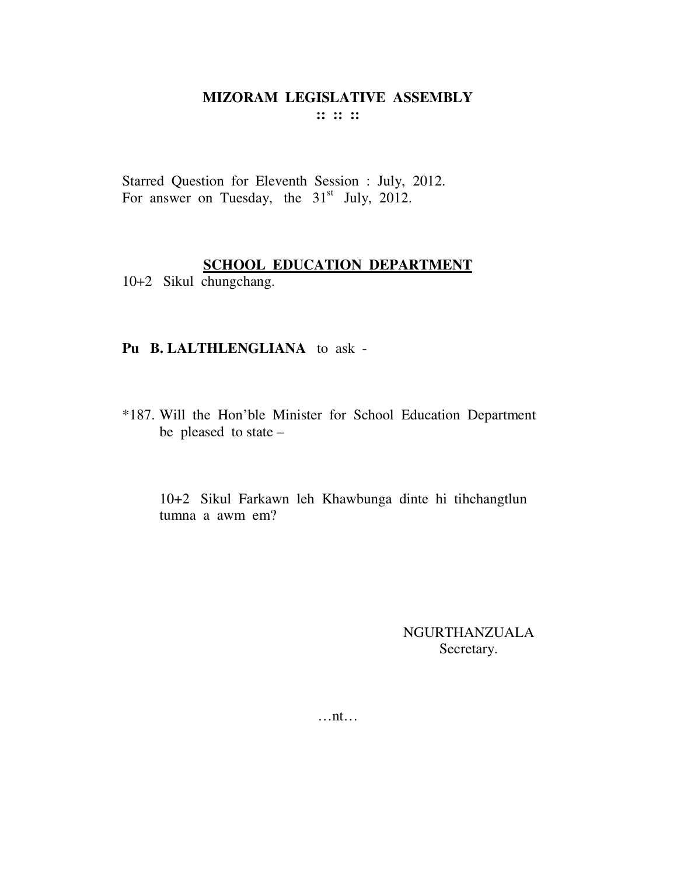Starred Question for Eleventh Session : July, 2012. For answer on Tuesday, the  $31<sup>st</sup>$  July, 2012.

## **SCHOOL EDUCATION DEPARTMENT**

10+2 Sikul chungchang.

## **Pu B. LALTHLENGLIANA** to ask -

\*187. Will the Hon'ble Minister for School Education Department be pleased to state –

10+2 Sikul Farkawn leh Khawbunga dinte hi tihchangtlun tumna a awm em?

> NGURTHANZUALA Secretary.

…nt…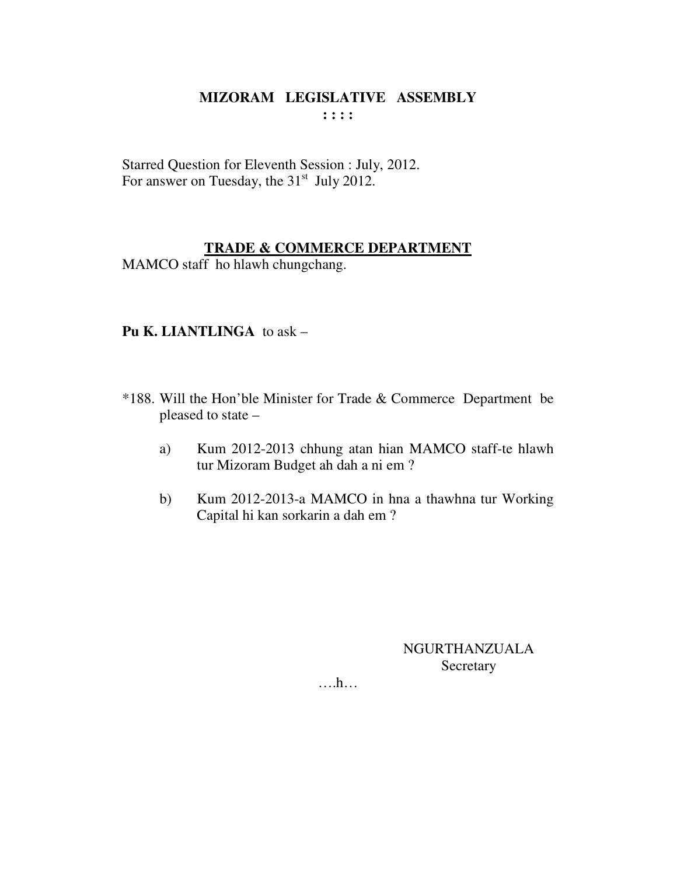Starred Question for Eleventh Session : July, 2012. For answer on Tuesday, the 31<sup>st</sup> July 2012.

## **TRADE & COMMERCE DEPARTMENT**

MAMCO staff ho hlawh chungchang.

## **Pu K. LIANTLINGA** to ask –

- \*188. Will the Hon'ble Minister for Trade & Commerce Department be pleased to state –
	- a) Kum 2012-2013 chhung atan hian MAMCO staff-te hlawh tur Mizoram Budget ah dah a ni em ?
	- b) Kum 2012-2013-a MAMCO in hna a thawhna tur Working Capital hi kan sorkarin a dah em ?

NGURTHANZUALA **Secretary** 

….h…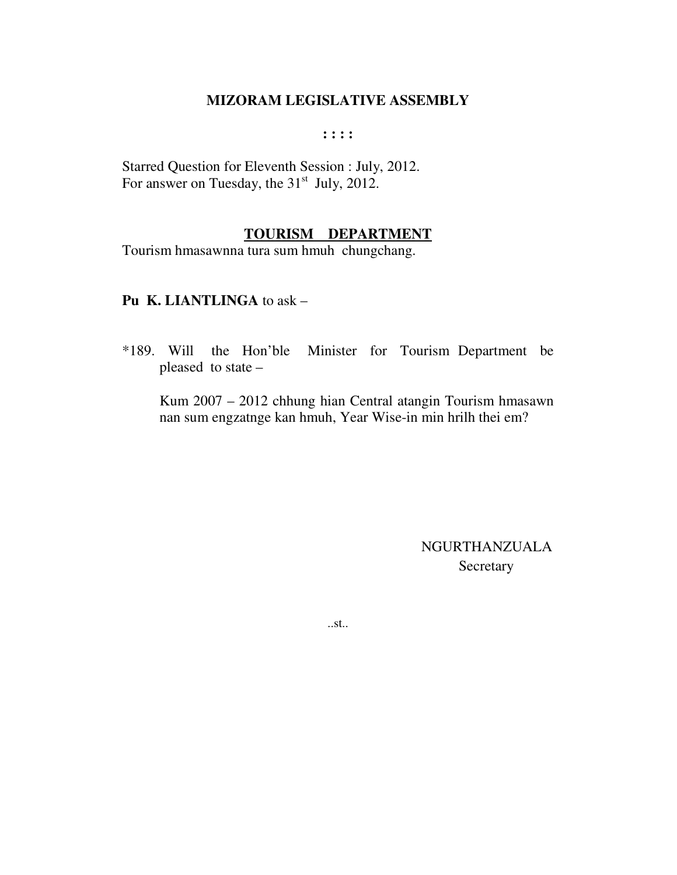**: : : :** 

Starred Question for Eleventh Session : July, 2012. For answer on Tuesday, the  $31<sup>st</sup>$  July, 2012.

## **TOURISM DEPARTMENT**

Tourism hmasawnna tura sum hmuh chungchang.

#### **Pu K. LIANTLINGA** to ask –

\*189. Will the Hon'ble Minister for Tourism Department be pleased to state –

 Kum 2007 – 2012 chhung hian Central atangin Tourism hmasawn nan sum engzatnge kan hmuh, Year Wise-in min hrilh thei em?

> NGURTHANZUALA **Secretary**

..st..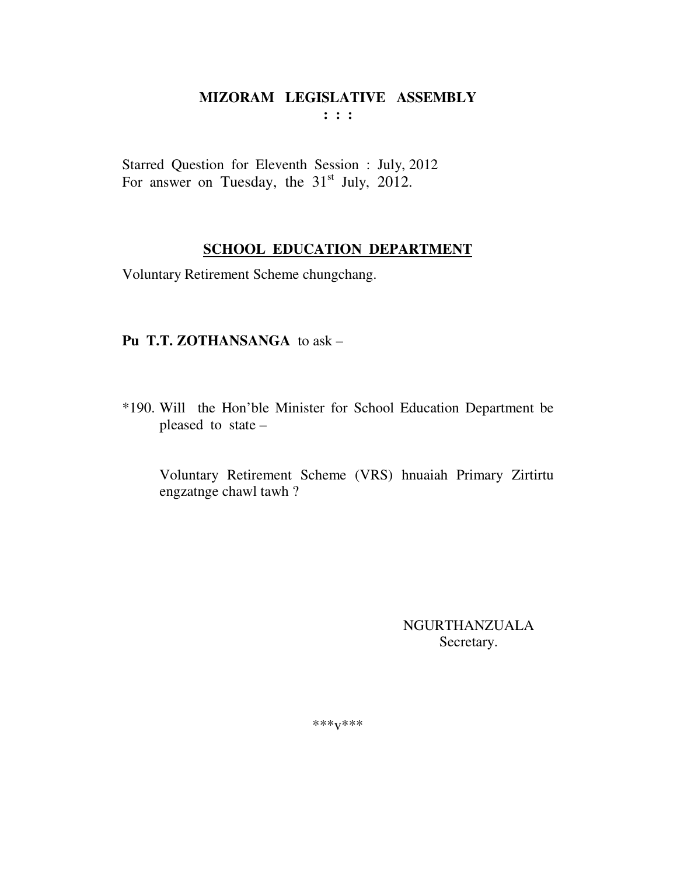Starred Question for Eleventh Session : July, 2012 For answer on Tuesday, the  $31<sup>st</sup>$  July, 2012.

## **SCHOOL EDUCATION DEPARTMENT**

Voluntary Retirement Scheme chungchang.

## Pu T.T. ZOTHANSANGA to ask -

\*190. Will the Hon'ble Minister for School Education Department be pleased to state -

Voluntary Retirement Scheme (VRS) hnuaiah Primary Zirtirtu engzatnge chawl tawh?

> **NGURTHANZUALA** Secretary.

 $***V***$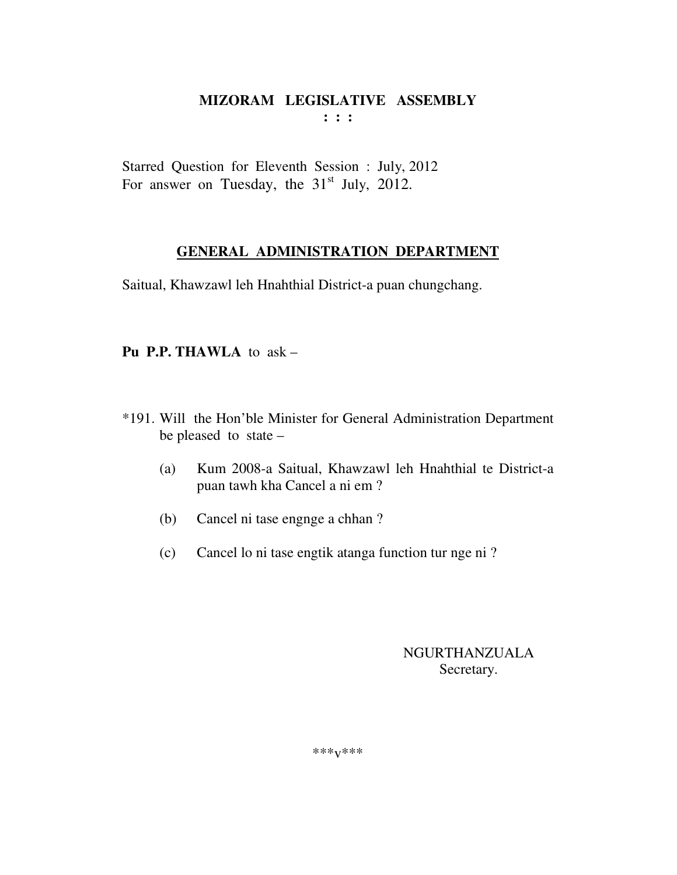Starred Question for Eleventh Session : July, 2012 For answer on Tuesday, the  $31<sup>st</sup>$  July, 2012.

## **GENERAL ADMINISTRATION DEPARTMENT**

Saitual, Khawzawl leh Hnahthial District-a puan chungchang.

## **Pu P.P. THAWLA** to ask –

- \*191. Will the Hon'ble Minister for General Administration Department be pleased to state –
	- (a) Kum 2008-a Saitual, Khawzawl leh Hnahthial te District-a puan tawh kha Cancel a ni em ?
	- (b) Cancel ni tase engnge a chhan ?
	- (c) Cancel lo ni tase engtik atanga function tur nge ni ?

## NGURTHANZUALA Secretary.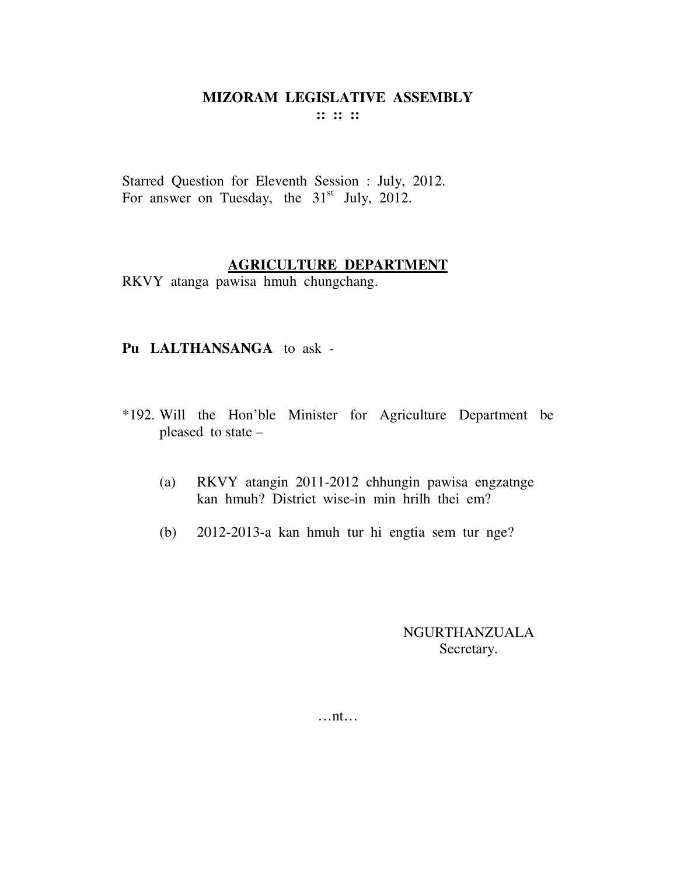Starred Question for Eleventh Session : July, 2012. For answer on Tuesday, the  $31<sup>st</sup>$  July, 2012.

## **AGRICULTURE DEPARTMENT**

RKVY atanga pawisa hmuh chungchang.

## **Pu LALTHANSANGA** to ask -

- \*192. Will the Hon'ble Minister for Agriculture Department be pleased to state –
	- (a) RKVY atangin 2011-2012 chhungin pawisa engzatnge kan hmuh? District wise-in min hrilh thei em?
	- (b) 2012-2013-a kan hmuh tur hi engtia sem tur nge?

NGURTHANZUALA Secretary.

…nt…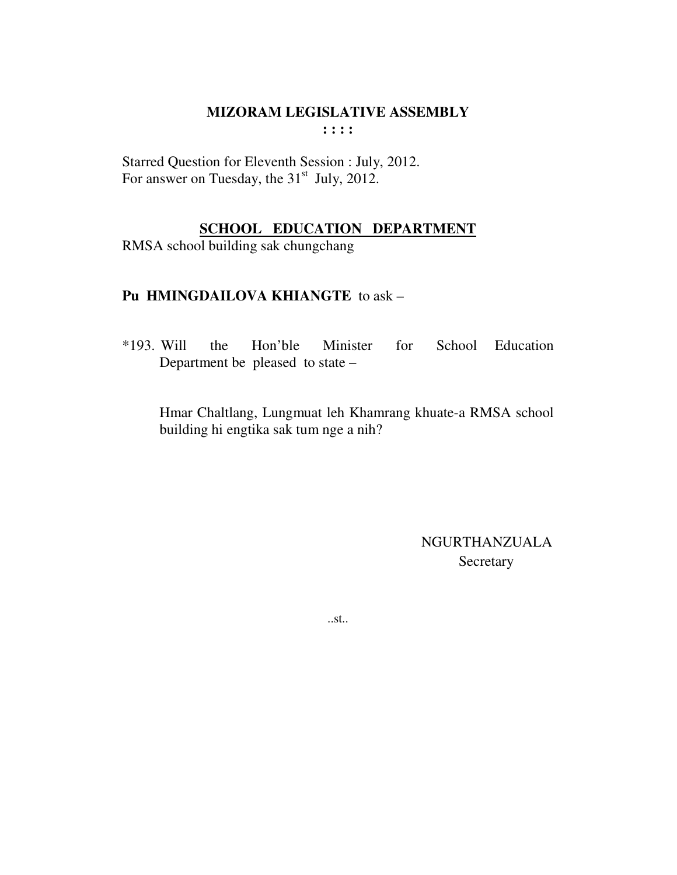Starred Question for Eleventh Session : July, 2012. For answer on Tuesday, the 31<sup>st</sup> July, 2012.

## **SCHOOL EDUCATION DEPARTMENT**

RMSA school building sak chungchang

## Pu HMINGDAILOVA KHIANGTE to ask -

 $*193.$  Will the Hon'ble Minister for School Education Department be pleased to state –

Hmar Chaltlang, Lungmuat leh Khamrang khuate-a RMSA school building hi engtika sak tum nge a nih?

> **NGURTHANZUALA** Secretary

 $...st...$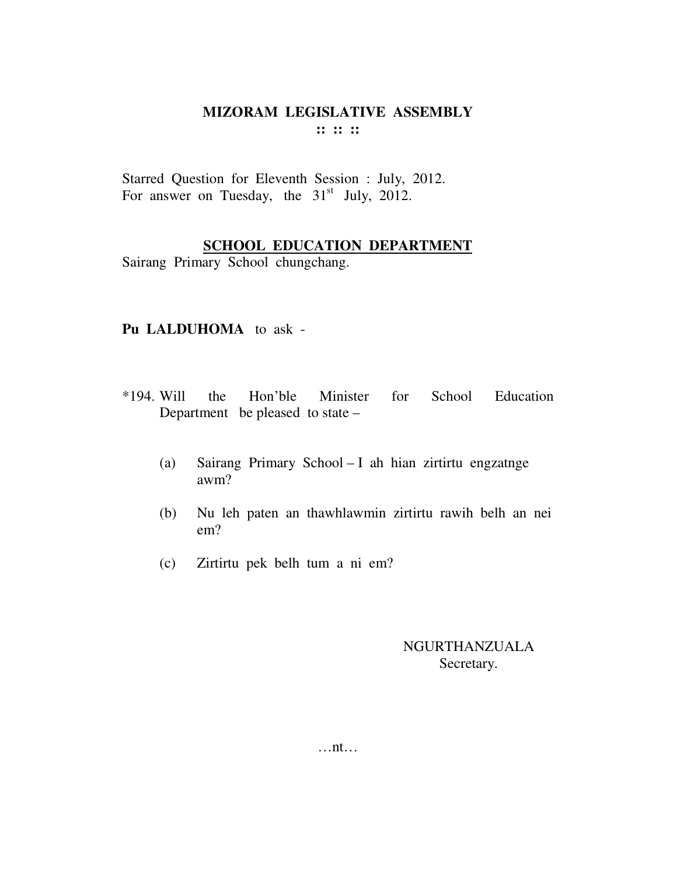Starred Question for Eleventh Session : July, 2012. For answer on Tuesday, the  $31<sup>st</sup>$  July, 2012.

## **SCHOOL EDUCATION DEPARTMENT**

Sairang Primary School chungchang.

## **Pu LALDUHOMA** to ask -

- \*194. Will the Hon'ble Minister for School Education Department be pleased to state –
	- (a) Sairang Primary School I ah hian zirtirtu engzatnge awm?
	- (b) Nu leh paten an thawhlawmin zirtirtu rawih belh an nei em?
	- (c) Zirtirtu pek belh tum a ni em?

## NGURTHANZUALA Secretary.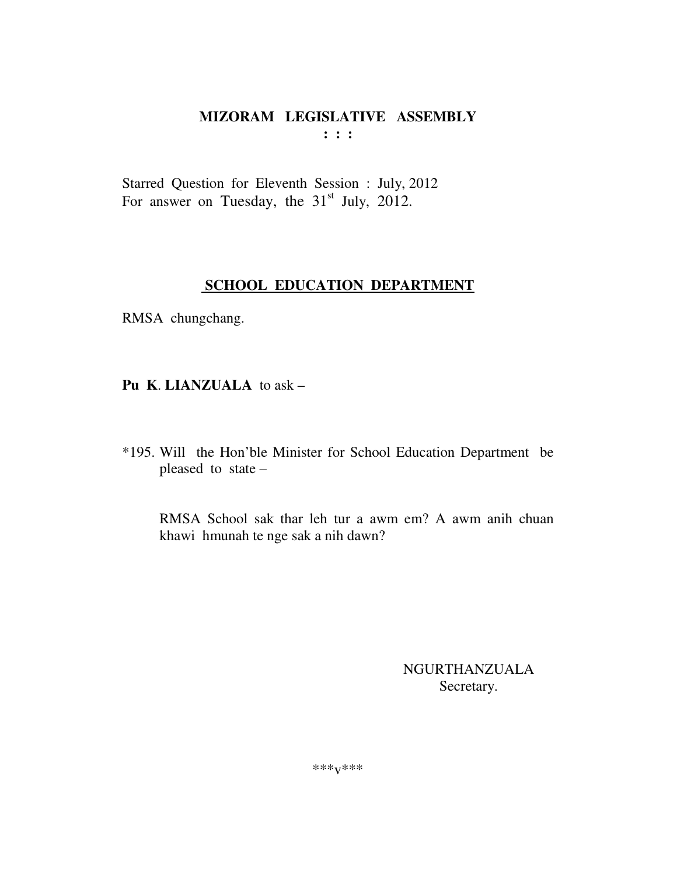Starred Question for Eleventh Session : July, 2012 For answer on Tuesday, the  $31<sup>st</sup>$  July, 2012.

## **SCHOOL EDUCATION DEPARTMENT**

RMSA chungchang.

**Pu K**. **LIANZUALA** to ask –

\*195. Will the Hon'ble Minister for School Education Department be pleased to state –

RMSA School sak thar leh tur a awm em? A awm anih chuan khawi hmunah te nge sak a nih dawn?

> NGURTHANZUALA Secretary.

\*\*\*v\*\*\*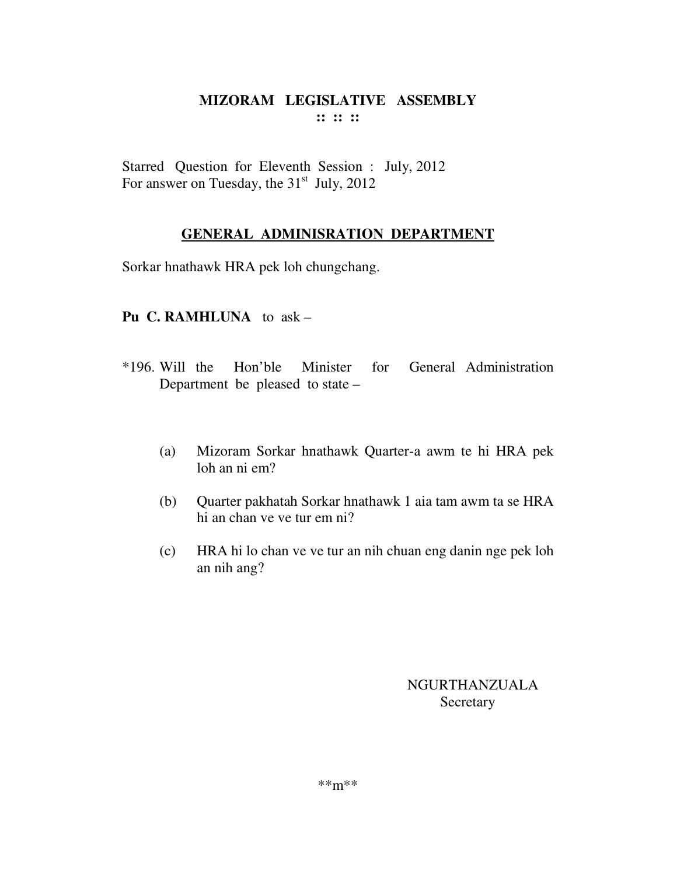Starred Question for Eleventh Session : July, 2012 For answer on Tuesday, the  $31<sup>st</sup>$  July, 2012

## **GENERAL ADMINISRATION DEPARTMENT**

Sorkar hnathawk HRA pek loh chungchang.

## **Pu C. RAMHLUNA** to ask –

- \*196. Will the Hon'ble Minister for General Administration Department be pleased to state –
	- (a) Mizoram Sorkar hnathawk Quarter-a awm te hi HRA pek loh an ni em?
	- (b) Quarter pakhatah Sorkar hnathawk 1 aia tam awm ta se HRA hi an chan ve ve tur em ni?
	- (c) HRA hi lo chan ve ve tur an nih chuan eng danin nge pek loh an nih ang?

## NGURTHANZUALA Secretary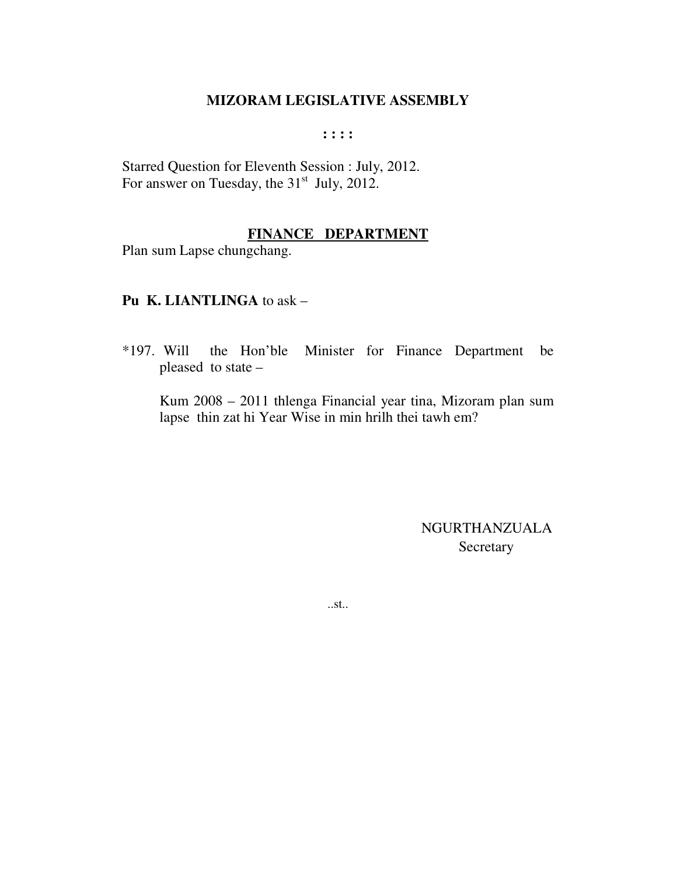#### $: : : :$

Starred Question for Eleventh Session : July, 2012. For answer on Tuesday, the 31<sup>st</sup> July, 2012.

## FINANCE DEPARTMENT

Plan sum Lapse chungchang.

## Pu K. LIANTLINGA to ask -

 $*197.$  Will the Hon'ble Minister for Finance Department be pleased to state -

Kum 2008 – 2011 thlenga Financial year tina, Mizoram plan sum lapse thin zat hi Year Wise in min hrilh thei tawh em?

> NGURTHANZUALA Secretary

 $...st...$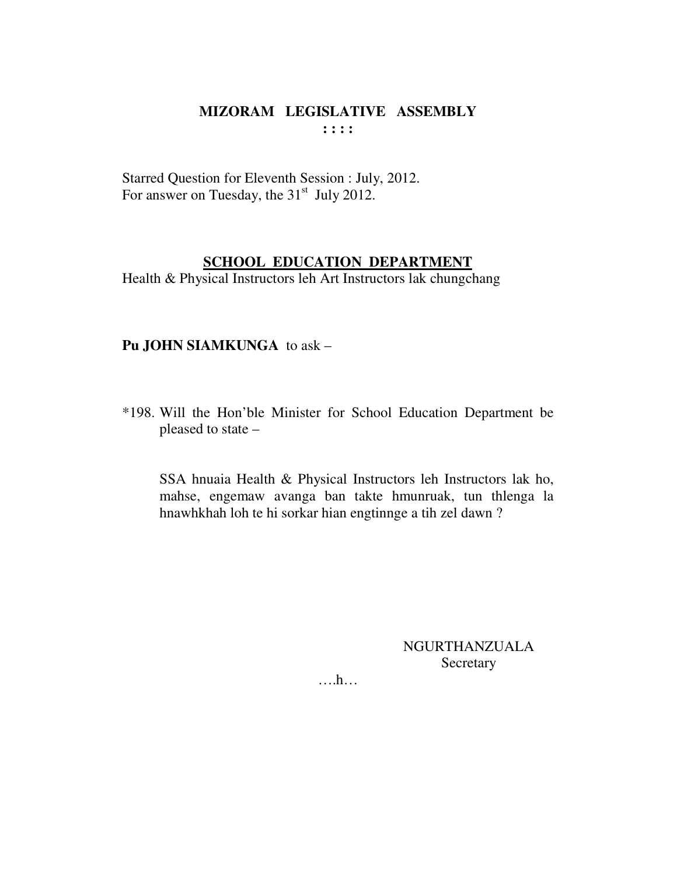Starred Question for Eleventh Session : July, 2012. For answer on Tuesday, the 31<sup>st</sup> July 2012.

## **SCHOOL EDUCATION DEPARTMENT**

Health & Physical Instructors leh Art Instructors lak chungchang

## Pu JOHN SIAMKUNGA to ask -

\*198. Will the Hon'ble Minister for School Education Department be pleased to state -

SSA hnuaia Health & Physical Instructors leh Instructors lak ho, mahse, engemaw avanga ban takte hmunruak, tun thlenga la hnawhkhah loh te hi sorkar hian engtinnge a tih zel dawn?

> **NGURTHANZUALA** Secretary

 $\dots$ h $\dots$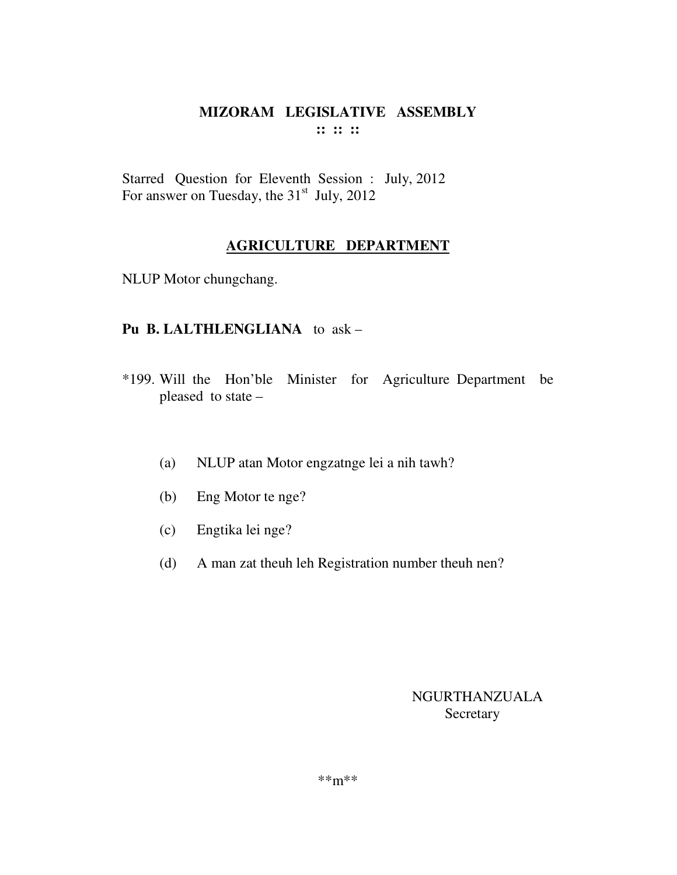## MIZORAM LEGISLATIVE ASSEMBLY  $\mathbf{11} \mathbf{11} \mathbf{11}$

Starred Question for Eleventh Session : July, 2012 For answer on Tuesday, the 31<sup>st</sup> July, 2012

## **AGRICULTURE DEPARTMENT**

NLUP Motor chungchang.

## Pu B. LALTHLENGLIANA to ask -

- \*199. Will the Hon'ble Minister for Agriculture Department be pleased to state -
	- NLUP atan Motor engzatnge lei a nih tawh?  $(a)$
	- Eng Motor te nge?  $(b)$
	- $(c)$ Engtika lei nge?
	- A man zat theuh leh Registration number theuh nen?  $(d)$

## NGURTHANZUALA Secretary